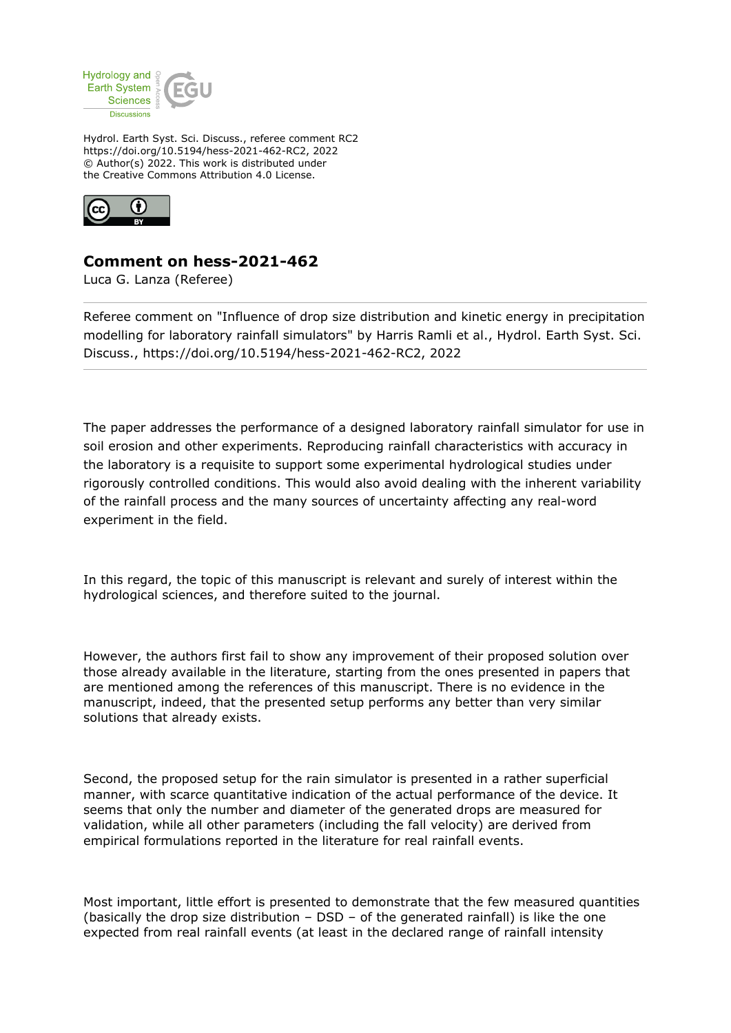

Hydrol. Earth Syst. Sci. Discuss., referee comment RC2 https://doi.org/10.5194/hess-2021-462-RC2, 2022 © Author(s) 2022. This work is distributed under the Creative Commons Attribution 4.0 License.



## **Comment on hess-2021-462**

Luca G. Lanza (Referee)

Referee comment on "Influence of drop size distribution and kinetic energy in precipitation modelling for laboratory rainfall simulators" by Harris Ramli et al., Hydrol. Earth Syst. Sci. Discuss., https://doi.org/10.5194/hess-2021-462-RC2, 2022

The paper addresses the performance of a designed laboratory rainfall simulator for use in soil erosion and other experiments. Reproducing rainfall characteristics with accuracy in the laboratory is a requisite to support some experimental hydrological studies under rigorously controlled conditions. This would also avoid dealing with the inherent variability of the rainfall process and the many sources of uncertainty affecting any real-word experiment in the field.

In this regard, the topic of this manuscript is relevant and surely of interest within the hydrological sciences, and therefore suited to the journal.

However, the authors first fail to show any improvement of their proposed solution over those already available in the literature, starting from the ones presented in papers that are mentioned among the references of this manuscript. There is no evidence in the manuscript, indeed, that the presented setup performs any better than very similar solutions that already exists.

Second, the proposed setup for the rain simulator is presented in a rather superficial manner, with scarce quantitative indication of the actual performance of the device. It seems that only the number and diameter of the generated drops are measured for validation, while all other parameters (including the fall velocity) are derived from empirical formulations reported in the literature for real rainfall events.

Most important, little effort is presented to demonstrate that the few measured quantities (basically the drop size distribution – DSD – of the generated rainfall) is like the one expected from real rainfall events (at least in the declared range of rainfall intensity